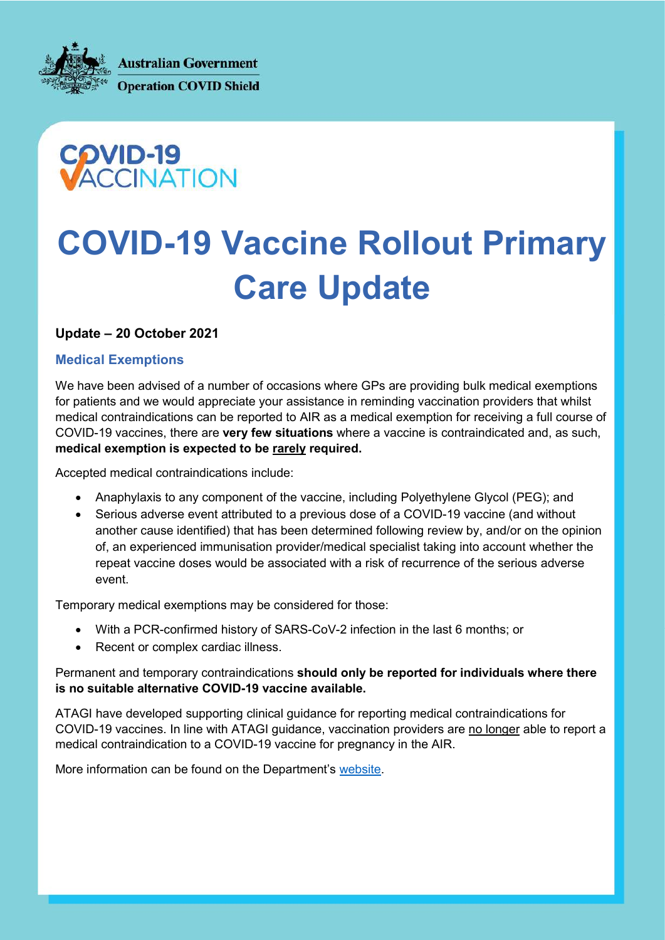**Australian Government Operation COVID Shield** 



# COVID-19 Vaccine Rollout Primary Care Update

## Update – 20 October 2021

#### Medical Exemptions

We have been advised of a number of occasions where GPs are providing bulk medical exemptions for patients and we would appreciate your assistance in reminding vaccination providers that whilst medical contraindications can be reported to AIR as a medical exemption for receiving a full course of COVID-19 vaccines, there are very few situations where a vaccine is contraindicated and, as such, medical exemption is expected to be rarely required.

Accepted medical contraindications include:

- Anaphylaxis to any component of the vaccine, including Polyethylene Glycol (PEG); and
- Serious adverse event attributed to a previous dose of a COVID-19 vaccine (and without another cause identified) that has been determined following review by, and/or on the opinion of, an experienced immunisation provider/medical specialist taking into account whether the repeat vaccine doses would be associated with a risk of recurrence of the serious adverse event.

Temporary medical exemptions may be considered for those:

- With a PCR-confirmed history of SARS-CoV-2 infection in the last 6 months; or
- Recent or complex cardiac illness.

Permanent and temporary contraindications should only be reported for individuals where there is no suitable alternative COVID-19 vaccine available.

ATAGI have developed supporting clinical guidance for reporting medical contraindications for COVID-19 vaccines. In line with ATAGI guidance, vaccination providers are no longer able to report a medical contraindication to a COVID-19 vaccine for pregnancy in the AIR.

More information can be found on the Department's website.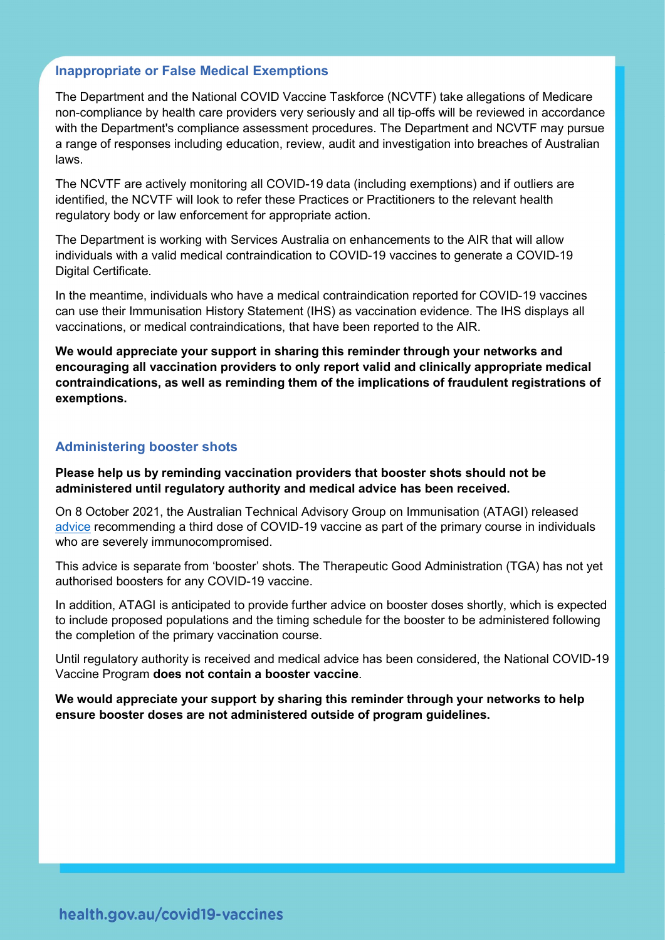#### Inappropriate or False Medical Exemptions

The Department and the National COVID Vaccine Taskforce (NCVTF) take allegations of Medicare non-compliance by health care providers very seriously and all tip-offs will be reviewed in accordance with the Department's compliance assessment procedures. The Department and NCVTF may pursue a range of responses including education, review, audit and investigation into breaches of Australian laws.

The NCVTF are actively monitoring all COVID-19 data (including exemptions) and if outliers are identified, the NCVTF will look to refer these Practices or Practitioners to the relevant health regulatory body or law enforcement for appropriate action.

The Department is working with Services Australia on enhancements to the AIR that will allow individuals with a valid medical contraindication to COVID-19 vaccines to generate a COVID-19 Digital Certificate.

In the meantime, individuals who have a medical contraindication reported for COVID-19 vaccines can use their Immunisation History Statement (IHS) as vaccination evidence. The IHS displays all vaccinations, or medical contraindications, that have been reported to the AIR.

We would appreciate your support in sharing this reminder through your networks and encouraging all vaccination providers to only report valid and clinically appropriate medical contraindications, as well as reminding them of the implications of fraudulent registrations of exemptions.

#### Administering booster shots

Please help us by reminding vaccination providers that booster shots should not be administered until regulatory authority and medical advice has been received.

On 8 October 2021, the Australian Technical Advisory Group on Immunisation (ATAGI) released advice recommending a third dose of COVID-19 vaccine as part of the primary course in individuals who are severely immunocompromised.

This advice is separate from 'booster' shots. The Therapeutic Good Administration (TGA) has not yet authorised boosters for any COVID-19 vaccine.

In addition, ATAGI is anticipated to provide further advice on booster doses shortly, which is expected to include proposed populations and the timing schedule for the booster to be administered following the completion of the primary vaccination course.

Until regulatory authority is received and medical advice has been considered, the National COVID-19 Vaccine Program does not contain a booster vaccine.

We would appreciate your support by sharing this reminder through your networks to help ensure booster doses are not administered outside of program guidelines.